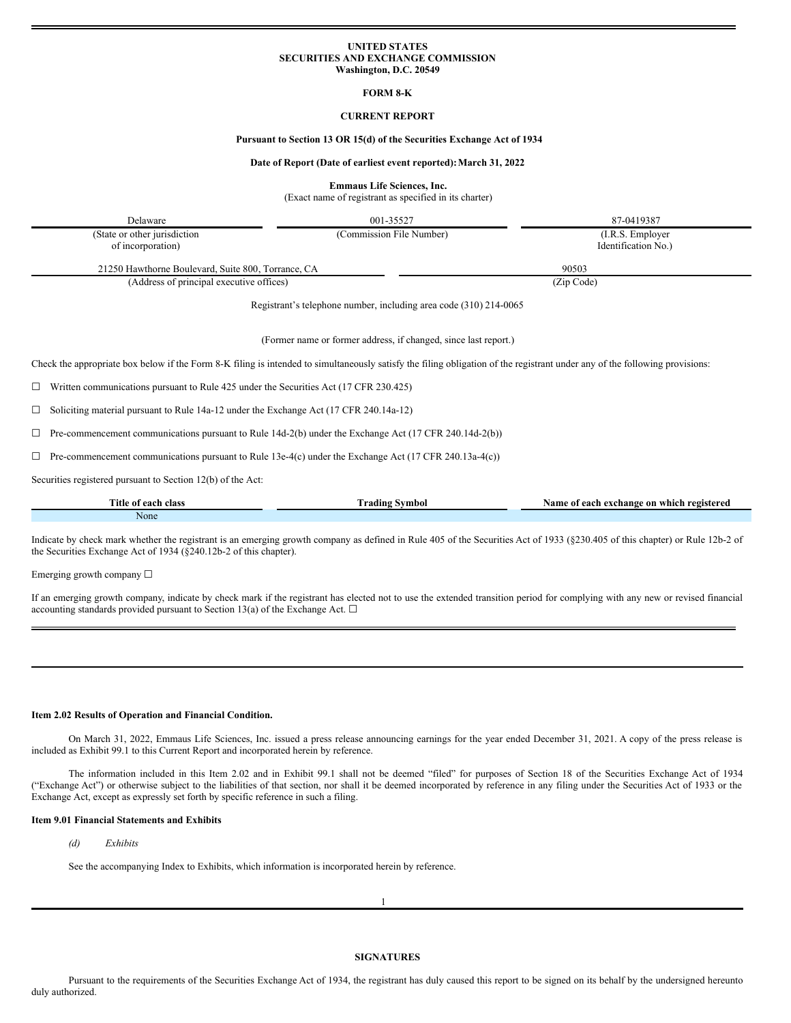## **UNITED STATES SECURITIES AND EXCHANGE COMMISSION Washington, D.C. 20549**

**FORM 8-K**

## **CURRENT REPORT**

## **Pursuant to Section 13 OR 15(d) of the Securities Exchange Act of 1934**

## **Date of Report (Date of earliest event reported):March 31, 2022**

**Emmaus Life Sciences, Inc.**

(Exact name of registrant as specified in its charter)

Delaware 87-0419387

(State or other jurisdiction of incorporation)

(Commission File Number) (I.R.S. Employer Identification No.)

21250 Hawthorne Boulevard, Suite 800, Torrance, CA 90503

(Address of principal executive offices) (Zip Code)

Registrant's telephone number, including area code (310) 214-0065

(Former name or former address, if changed, since last report.)

Check the appropriate box below if the Form 8-K filing is intended to simultaneously satisfy the filing obligation of the registrant under any of the following provisions:

☐ Written communications pursuant to Rule 425 under the Securities Act (17 CFR 230.425)

☐ Soliciting material pursuant to Rule 14a-12 under the Exchange Act (17 CFR 240.14a-12)

 $\Box$  Pre-commencement communications pursuant to Rule 14d-2(b) under the Exchange Act (17 CFR 240.14d-2(b))

 $\Box$  Pre-commencement communications pursuant to Rule 13e-4(c) under the Exchange Act (17 CFR 240.13a-4(c))

Securities registered pursuant to Section 12(b) of the Act:

| Title c<br>class<br>each<br>01 | rading<br>≦vmboi – | registered<br>Name<br>e on which :<br>exchange ו<br>. each<br>- ot |
|--------------------------------|--------------------|--------------------------------------------------------------------|
| None                           |                    |                                                                    |

Indicate by check mark whether the registrant is an emerging growth company as defined in Rule 405 of the Securities Act of 1933 (§230.405 of this chapter) or Rule 12b-2 of the Securities Exchange Act of 1934 (§240.12b-2 of this chapter).

Emerging growth company ☐

If an emerging growth company, indicate by check mark if the registrant has elected not to use the extended transition period for complying with any new or revised financial accounting standards provided pursuant to Section 13(a) of the Exchange Act.  $\Box$ 

## **Item 2.02 Results of Operation and Financial Condition.**

On March 31, 2022, Emmaus Life Sciences, Inc. issued a press release announcing earnings for the year ended December 31, 2021. A copy of the press release is included as Exhibit 99.1 to this Current Report and incorporated herein by reference.

The information included in this Item 2.02 and in Exhibit 99.1 shall not be deemed "filed" for purposes of Section 18 of the Securities Exchange Act of 1934 ("Exchange Act") or otherwise subject to the liabilities of that section, nor shall it be deemed incorporated by reference in any filing under the Securities Act of 1933 or the Exchange Act, except as expressly set forth by specific reference in such a filing.

#### **Item 9.01 Financial Statements and Exhibits**

# *(d) Exhibits*

See the accompanying Index to Exhibits, which information is incorporated herein by reference.

1

**SIGNATURES**

Pursuant to the requirements of the Securities Exchange Act of 1934, the registrant has duly caused this report to be signed on its behalf by the undersigned hereunto duly authorized.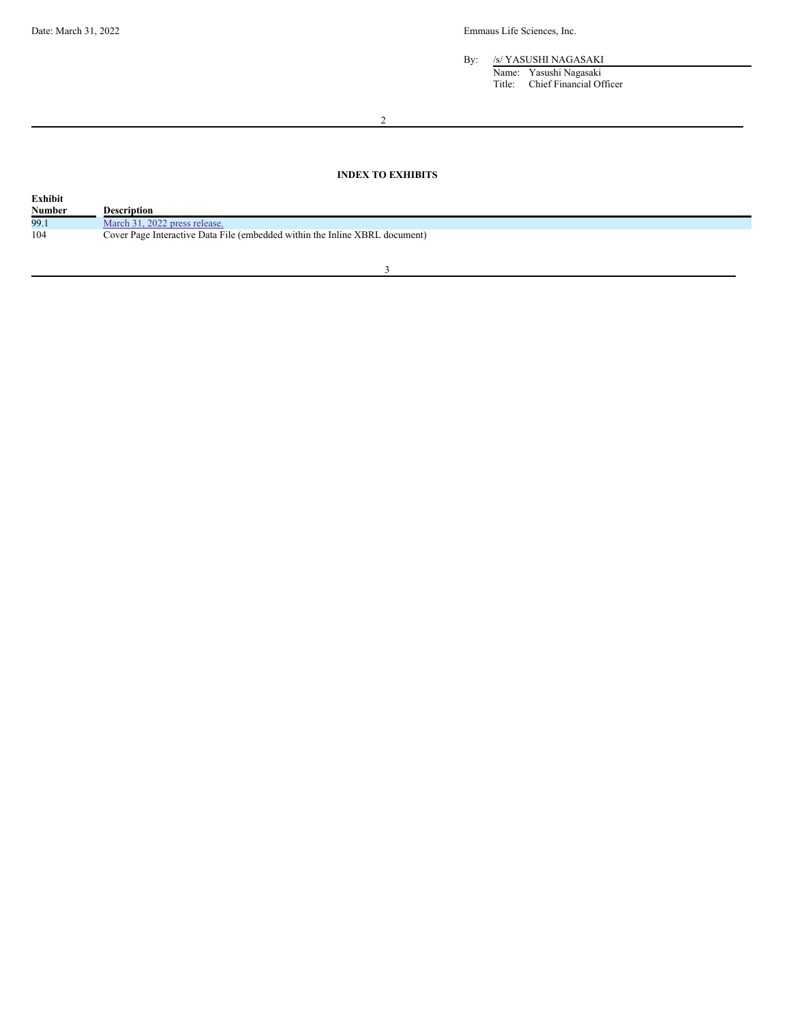By: /s/ YASUSHI NAGASAKI

Name: Yasushi Nagasaki Title: Chief Financial Officer

2

# **INDEX TO EXHIBITS**

| <b>Number</b><br>Description                                                       |  |
|------------------------------------------------------------------------------------|--|
|                                                                                    |  |
| 99.1<br>March 31, 2022 press release.                                              |  |
| 104<br>Cover Page Interactive Data File (embedded within the Inline XBRL document) |  |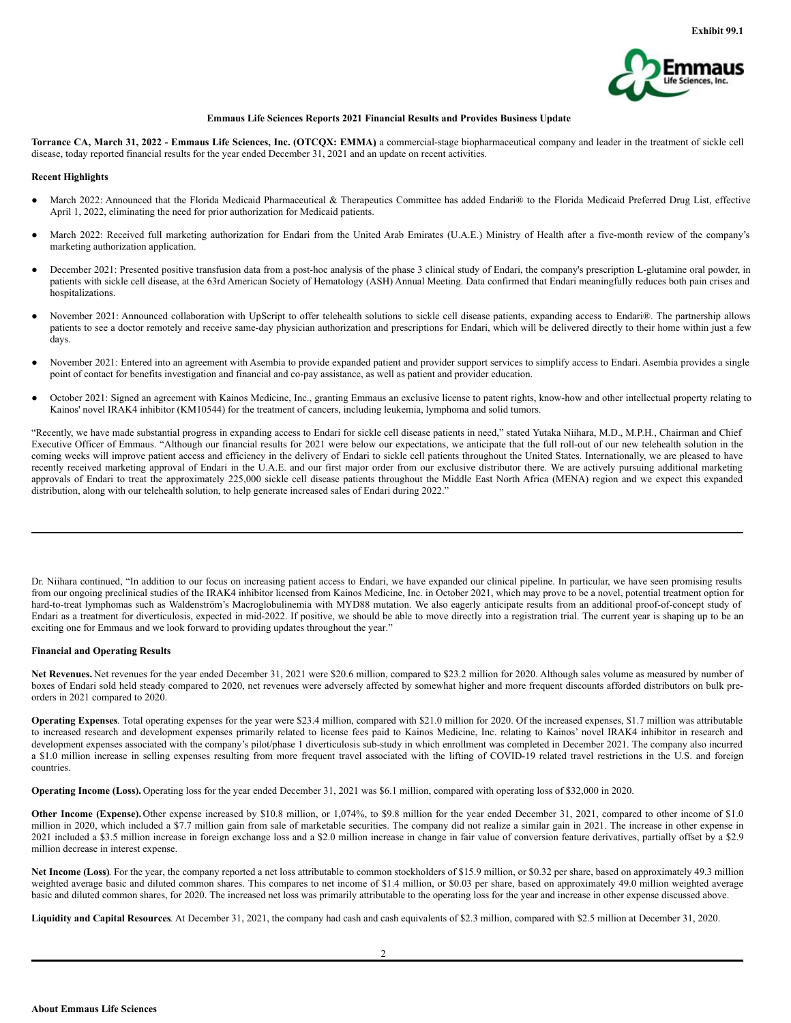

## **Emmaus Life Sciences Reports 2021 Financial Results and Provides Business Update**

Torrance CA, March 31, 2022 - Emmaus Life Sciences, Inc. (OTCQX: EMMA) a commercial-stage biopharmaceutical company and leader in the treatment of sickle cell disease, today reported financial results for the year ended December 31, 2021 and an update on recent activities.

## **Recent Highlights**

- March 2022: Announced that the Florida Medicaid Pharmaceutical & Therapeutics Committee has added Endari® to the Florida Medicaid Preferred Drug List, effective April 1, 2022, eliminating the need for prior authorization for Medicaid patients.
- March 2022: Received full marketing authorization for Endari from the United Arab Emirates (U.A.E.) Ministry of Health after a five-month review of the company's marketing authorization application.
- December 2021: Presented positive transfusion data from a post-hoc analysis of the phase 3 clinical study of Endari, the company's prescription L-glutamine oral powder, in patients with sickle cell disease, at the 63rd American Society of Hematology (ASH) Annual Meeting. Data confirmed that Endari meaningfully reduces both pain crises and hospitalizations.
- November 2021: Announced collaboration with UpScript to offer telehealth solutions to sickle cell disease patients, expanding access to Endari®. The partnership allows patients to see a doctor remotely and receive same-day physician authorization and prescriptions for Endari, which will be delivered directly to their home within just a few days.
- November 2021: Entered into an agreement with Asembia to provide expanded patient and provider support services to simplify access to Endari. Asembia provides a single point of contact for benefits investigation and financial and co-pay assistance, as well as patient and provider education.
- October 2021: Signed an agreement with Kainos Medicine, Inc., granting Emmaus an exclusive license to patent rights, know-how and other intellectual property relating to Kainos' novel IRAK4 inhibitor (KM10544) for the treatment of cancers, including leukemia, lymphoma and solid tumors.

"Recently, we have made substantial progress in expanding access to Endari for sickle cell disease patients in need," stated Yutaka Niihara, M.D., M.P.H., Chairman and Chief Executive Officer of Emmaus. "Although our financial results for 2021 were below our expectations, we anticipate that the full roll-out of our new telehealth solution in the coming weeks will improve patient access and efficiency in the delivery of Endari to sickle cell patients throughout the United States. Internationally, we are pleased to have recently received marketing approval of Endari in the U.A.E. and our first major order from our exclusive distributor there. We are actively pursuing additional marketing approvals of Endari to treat the approximately 225,000 sickle cell disease patients throughout the Middle East North Africa (MENA) region and we expect this expanded distribution, along with our telehealth solution, to help generate increased sales of Endari during 2022."

Dr. Niihara continued, "In addition to our focus on increasing patient access to Endari, we have expanded our clinical pipeline. In particular, we have seen promising results from our ongoing preclinical studies of the IRAK4 inhibitor licensed from Kainos Medicine, Inc. in October 2021, which may prove to be a novel, potential treatment option for hard-to-treat lymphomas such as Waldenström's Macroglobulinemia with MYD88 mutation. We also eagerly anticipate results from an additional proof-of-concept study of Endari as a treatment for diverticulosis, expected in mid-2022. If positive, we should be able to move directly into a registration trial. The current year is shaping up to be an exciting one for Emmaus and we look forward to providing updates throughout the year."

## **Financial and Operating Results**

Net Revenues. Net revenues for the year ended December 31, 2021 were \$20.6 million, compared to \$23.2 million for 2020. Although sales volume as measured by number of boxes of Endari sold held steady compared to 2020, net revenues were adversely affected by somewhat higher and more frequent discounts afforded distributors on bulk preorders in 2021 compared to 2020.

**Operating Expenses**. Total operating expenses for the year were \$23.4 million, compared with \$21.0 million for 2020. Of the increased expenses, \$1.7 million was attributable to increased research and development expenses primarily related to license fees paid to Kainos Medicine, Inc. relating to Kainos' novel IRAK4 inhibitor in research and development expenses associated with the company's pilot/phase 1 diverticulosis sub-study in which enrollment was completed in December 2021. The company also incurred a \$1.0 million increase in selling expenses resulting from more frequent travel associated with the lifting of COVID-19 related travel restrictions in the U.S. and foreign countries.

**Operating Income (Loss).** Operating loss for the year ended December 31, 2021 was \$6.1 million, compared with operating loss of \$32,000 in 2020.

**Other Income (Expense).** Other expense increased by \$10.8 million, or 1,074%, to \$9.8 million for the year ended December 31, 2021, compared to other income of \$1.0 million in 2020, which included a \$7.7 million gain from sale of marketable securities. The company did not realize a similar gain in 2021. The increase in other expense in 2021 included a \$3.5 million increase in foreign exchange loss and a \$2.0 million increase in change in fair value of conversion feature derivatives, partially offset by a \$2.9 million decrease in interest expense.

**Net Income (Loss)**. For the year, the company reported a net loss attributable to common stockholders of \$15.9 million, or \$0.32 per share, based on approximately 49.3 million weighted average basic and diluted common shares. This compares to net income of \$1.4 million, or \$0.03 per share, based on approximately 49.0 million weighted average basic and diluted common shares, for 2020. The increased net loss was primarily attributable to the operating loss for the year and increase in other expense discussed above.

**Liquidity and Capital Resources**. At December 31, 2021, the company had cash and cash equivalents of \$2.3 million, compared with \$2.5 million at December 31, 2020.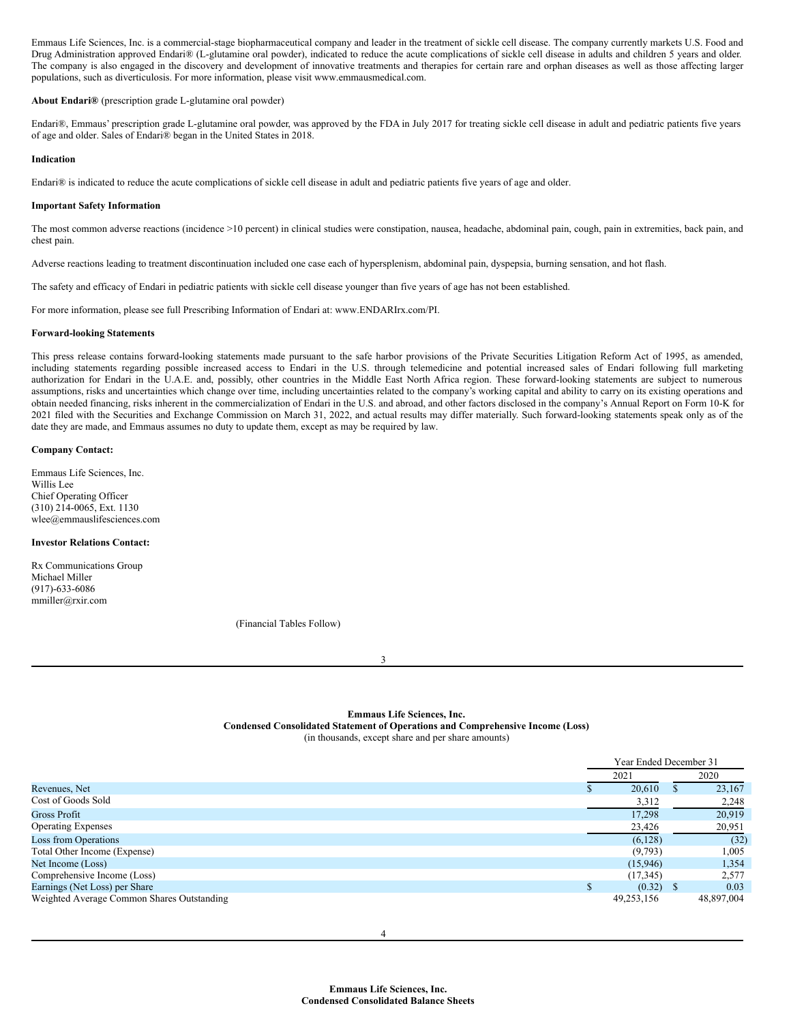<span id="page-3-0"></span>Emmaus Life Sciences, Inc. is a commercial-stage biopharmaceutical company and leader in the treatment of sickle cell disease. The company currently markets U.S. Food and Drug Administration approved Endari® (L-glutamine oral powder), indicated to reduce the acute complications of sickle cell disease in adults and children 5 years and older. The company is also engaged in the discovery and development of innovative treatments and therapies for certain rare and orphan diseases as well as those affecting larger populations, such as diverticulosis. For more information, please visit www.emmausmedical.com.

#### **About Endari®** (prescription grade L-glutamine oral powder)

Endari®, Emmaus' prescription grade L-glutamine oral powder, was approved by the FDA in July 2017 for treating sickle cell disease in adult and pediatric patients five years of age and older. Sales of Endari® began in the United States in 2018.

#### **Indication**

Endari® is indicated to reduce the acute complications of sickle cell disease in adult and pediatric patients five years of age and older.

#### **Important Safety Information**

The most common adverse reactions (incidence >10 percent) in clinical studies were constipation, nausea, headache, abdominal pain, cough, pain in extremities, back pain, and chest pain.

Adverse reactions leading to treatment discontinuation included one case each of hypersplenism, abdominal pain, dyspepsia, burning sensation, and hot flash.

The safety and efficacy of Endari in pediatric patients with sickle cell disease younger than five years of age has not been established.

For more information, please see full Prescribing Information of Endari at: www.ENDARIrx.com/PI.

# **Forward-looking Statements**

This press release contains forward-looking statements made pursuant to the safe harbor provisions of the Private Securities Litigation Reform Act of 1995, as amended, including statements regarding possible increased access to Endari in the U.S. through telemedicine and potential increased sales of Endari following full marketing authorization for Endari in the U.A.E. and, possibly, other countries in the Middle East North Africa region. These forward-looking statements are subject to numerous assumptions, risks and uncertainties which change over time, including uncertainties related to the company's working capital and ability to carry on its existing operations and obtain needed financing, risks inherent in the commercialization of Endari in the U.S. and abroad, and other factors disclosed in the company's Annual Report on Form 10-K for 2021 filed with the Securities and Exchange Commission on March 31, 2022, and actual results may differ materially. Such forward-looking statements speak only as of the date they are made, and Emmaus assumes no duty to update them, except as may be required by law.

#### **Company Contact:**

Emmaus Life Sciences, Inc. Willis Lee Chief Operating Officer (310) 214-0065, Ext. 1130 wlee@emmauslifesciences.com

# **Investor Relations Contact:**

Rx Communications Group Michael Miller (917)-633-6086 mmiller@rxir.com

(Financial Tables Follow)

3

## **Emmaus Life Sciences, Inc.**

**Condensed Consolidated Statement of Operations and Comprehensive Income (Loss)**

(in thousands, except share and per share amounts)

|                                            | Year Ended December 31 |            |              |            |
|--------------------------------------------|------------------------|------------|--------------|------------|
|                                            | 2021                   |            | 2020         |            |
| Revenues, Net                              |                        | 20,610     | аĐ.          | 23,167     |
| Cost of Goods Sold                         |                        | 3,312      |              | 2,248      |
| Gross Profit                               |                        | 17.298     |              | 20,919     |
| <b>Operating Expenses</b>                  |                        | 23,426     |              | 20,951     |
| Loss from Operations                       |                        | (6,128)    |              | (32)       |
| Total Other Income (Expense)               |                        | (9,793)    |              | 1,005      |
| Net Income (Loss)                          |                        | (15,946)   |              | 1,354      |
| Comprehensive Income (Loss)                |                        | (17, 345)  |              | 2,577      |
| Earnings (Net Loss) per Share              | S                      | (0.32)     | $\mathbf{S}$ | 0.03       |
| Weighted Average Common Shares Outstanding |                        | 49,253,156 |              | 48,897,004 |